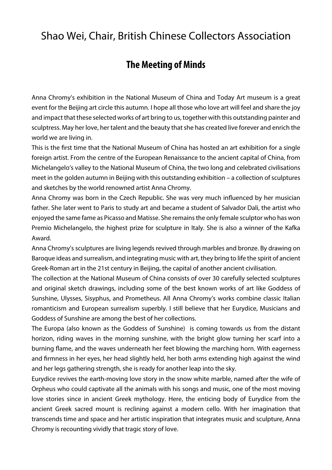## Shao Wei, Chair, British Chinese Collectors Association

## **The Meeting of Minds**

Anna Chromy's exhibition in the National Museum of China and Today Art museum is a great event for the Beijing art circle this autumn. I hope all those who love art will feel and share the joy and impact that these selected works of art bring to us, together with this outstanding painter and sculptress. May her love, her talent and the beauty that she has created live forever and enrich the world we are living in.

This is the first time that the National Museum of China has hosted an art exhibition for a single foreign artist. From the centre of the European Renaissance to the ancient capital of China, from Michelangelo's valley to the National Museum of China, the two long and celebrated civilisations meet in the golden autumn in Beijing with this outstanding exhibition – a collection of sculptures and sketches by the world renowned artist Anna Chromy.

Anna Chromy was born in the Czech Republic. She was very much influenced by her musician father. She later went to Paris to study art and became a student of Salvador Dali, the artist who enjoyed the same fame as Picasso and Matisse. She remains the only female sculptor who has won Premio Michelangelo, the highest prize for sculpture in Italy. She is also a winner of the Kafka Award.

Anna Chromy's sculptures are living legends revived through marbles and bronze. By drawing on Baroque ideas and surrealism, and integrating music with art, they bring to life the spirit of ancient Greek-Roman art in the 21st century in Beijing, the capital of another ancient civilisation.

The collection at the National Museum of China consists of over 30 carefully selected sculptures and original sketch drawings, including some of the best known works of art like Goddess of Sunshine, Ulysses, Sisyphus, and Prometheus. All Anna Chromy's works combine classic Italian romanticism and European surrealism superbly. I still believe that her Eurydice, Musicians and Goddess of Sunshine are among the best of her collections.

The Europa (also known as the Goddess of Sunshine) is coming towards us from the distant horizon, riding waves in the morning sunshine, with the bright glow turning her scarf into a burning flame, and the waves underneath her feet blowing the marching horn. With eagerness and firmness in her eyes, her head slightly held, her both arms extending high against the wind and her legs gathering strength, she is ready for another leap into the sky.

Eurydice revives the earth-moving love story in the snow white marble, named after the wife of Orpheus who could captivate all the animals with his songs and music, one of the most moving love stories since in ancient Greek mythology. Here, the enticing body of Eurydice from the ancient Greek sacred mount is reclining against a modern cello. With her imagination that transcends time and space and her artistic inspiration that integrates music and sculpture, Anna Chromy is recounting vividly that tragic story of love.